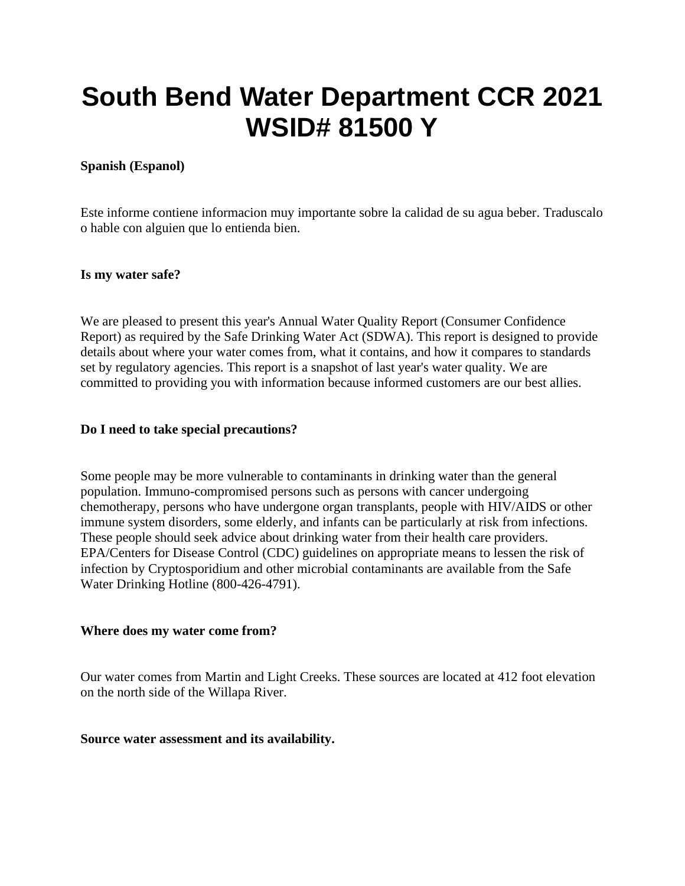# **South Bend Water Department CCR 2021 WSID# 81500 Y**

#### **Spanish (Espanol)**

Este informe contiene informacion muy importante sobre la calidad de su agua beber. Traduscalo o hable con alguien que lo entienda bien.

#### **Is my water safe?**

We are pleased to present this year's Annual Water Quality Report (Consumer Confidence Report) as required by the Safe Drinking Water Act (SDWA). This report is designed to provide details about where your water comes from, what it contains, and how it compares to standards set by regulatory agencies. This report is a snapshot of last year's water quality. We are committed to providing you with information because informed customers are our best allies.

#### **Do I need to take special precautions?**

Some people may be more vulnerable to contaminants in drinking water than the general population. Immuno-compromised persons such as persons with cancer undergoing chemotherapy, persons who have undergone organ transplants, people with HIV/AIDS or other immune system disorders, some elderly, and infants can be particularly at risk from infections. These people should seek advice about drinking water from their health care providers. EPA/Centers for Disease Control (CDC) guidelines on appropriate means to lessen the risk of infection by Cryptosporidium and other microbial contaminants are available from the Safe Water Drinking Hotline (800-426-4791).

#### **Where does my water come from?**

Our water comes from Martin and Light Creeks. These sources are located at 412 foot elevation on the north side of the Willapa River.

#### **Source water assessment and its availability.**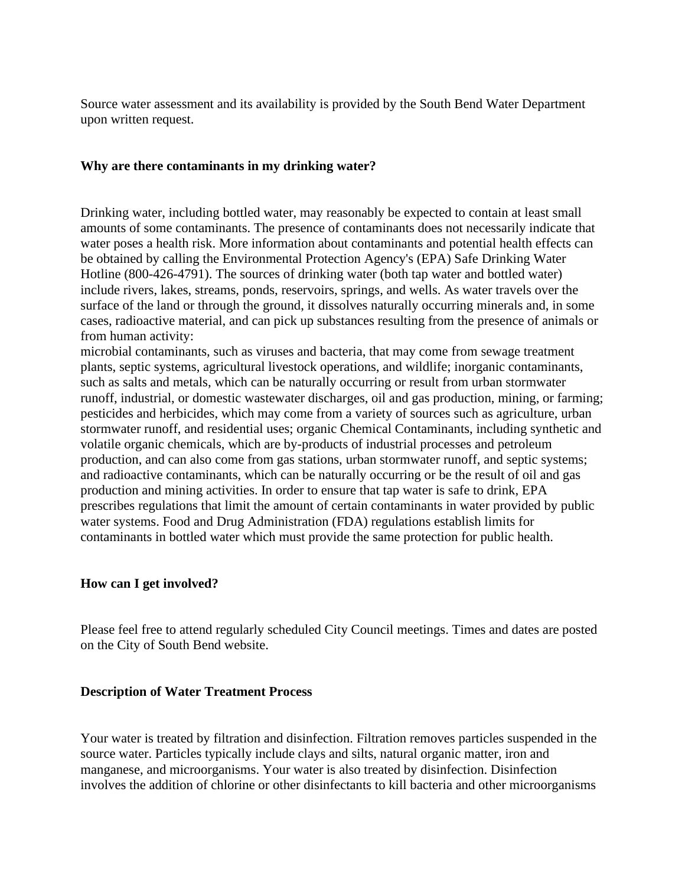Source water assessment and its availability is provided by the South Bend Water Department upon written request.

#### **Why are there contaminants in my drinking water?**

Drinking water, including bottled water, may reasonably be expected to contain at least small amounts of some contaminants. The presence of contaminants does not necessarily indicate that water poses a health risk. More information about contaminants and potential health effects can be obtained by calling the Environmental Protection Agency's (EPA) Safe Drinking Water Hotline (800-426-4791). The sources of drinking water (both tap water and bottled water) include rivers, lakes, streams, ponds, reservoirs, springs, and wells. As water travels over the surface of the land or through the ground, it dissolves naturally occurring minerals and, in some cases, radioactive material, and can pick up substances resulting from the presence of animals or from human activity:

microbial contaminants, such as viruses and bacteria, that may come from sewage treatment plants, septic systems, agricultural livestock operations, and wildlife; inorganic contaminants, such as salts and metals, which can be naturally occurring or result from urban stormwater runoff, industrial, or domestic wastewater discharges, oil and gas production, mining, or farming; pesticides and herbicides, which may come from a variety of sources such as agriculture, urban stormwater runoff, and residential uses; organic Chemical Contaminants, including synthetic and volatile organic chemicals, which are by-products of industrial processes and petroleum production, and can also come from gas stations, urban stormwater runoff, and septic systems; and radioactive contaminants, which can be naturally occurring or be the result of oil and gas production and mining activities. In order to ensure that tap water is safe to drink, EPA prescribes regulations that limit the amount of certain contaminants in water provided by public water systems. Food and Drug Administration (FDA) regulations establish limits for contaminants in bottled water which must provide the same protection for public health.

#### **How can I get involved?**

Please feel free to attend regularly scheduled City Council meetings. Times and dates are posted on the City of South Bend website.

#### **Description of Water Treatment Process**

Your water is treated by filtration and disinfection. Filtration removes particles suspended in the source water. Particles typically include clays and silts, natural organic matter, iron and manganese, and microorganisms. Your water is also treated by disinfection. Disinfection involves the addition of chlorine or other disinfectants to kill bacteria and other microorganisms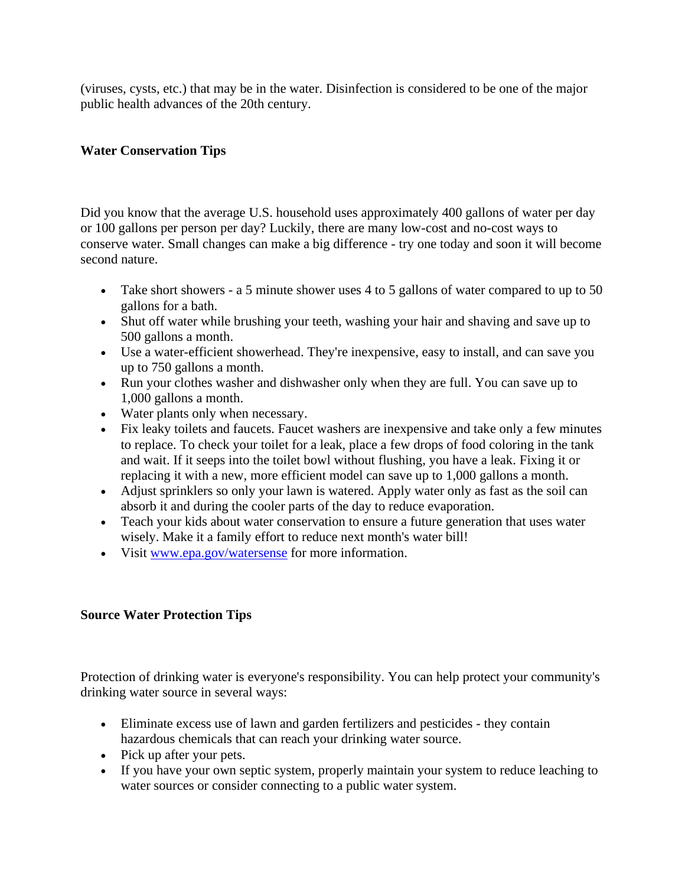(viruses, cysts, etc.) that may be in the water. Disinfection is considered to be one of the major public health advances of the 20th century.

# **Water Conservation Tips**

Did you know that the average U.S. household uses approximately 400 gallons of water per day or 100 gallons per person per day? Luckily, there are many low-cost and no-cost ways to conserve water. Small changes can make a big difference - try one today and soon it will become second nature.

- Take short showers a 5 minute shower uses 4 to 5 gallons of water compared to up to 50 gallons for a bath.
- Shut off water while brushing your teeth, washing your hair and shaving and save up to 500 gallons a month.
- Use a water-efficient showerhead. They're inexpensive, easy to install, and can save you up to 750 gallons a month.
- Run your clothes washer and dishwasher only when they are full. You can save up to 1,000 gallons a month.
- Water plants only when necessary.
- Fix leaky toilets and faucets. Faucet washers are inexpensive and take only a few minutes to replace. To check your toilet for a leak, place a few drops of food coloring in the tank and wait. If it seeps into the toilet bowl without flushing, you have a leak. Fixing it or replacing it with a new, more efficient model can save up to 1,000 gallons a month.
- Adjust sprinklers so only your lawn is watered. Apply water only as fast as the soil can absorb it and during the cooler parts of the day to reduce evaporation.
- Teach your kids about water conservation to ensure a future generation that uses water wisely. Make it a family effort to reduce next month's water bill!
- Visit [www.epa.gov/watersense](http://www.epa.gov/watersense) for more information.

### **Source Water Protection Tips**

Protection of drinking water is everyone's responsibility. You can help protect your community's drinking water source in several ways:

- Eliminate excess use of lawn and garden fertilizers and pesticides they contain hazardous chemicals that can reach your drinking water source.
- Pick up after your pets.
- If you have your own septic system, properly maintain your system to reduce leaching to water sources or consider connecting to a public water system.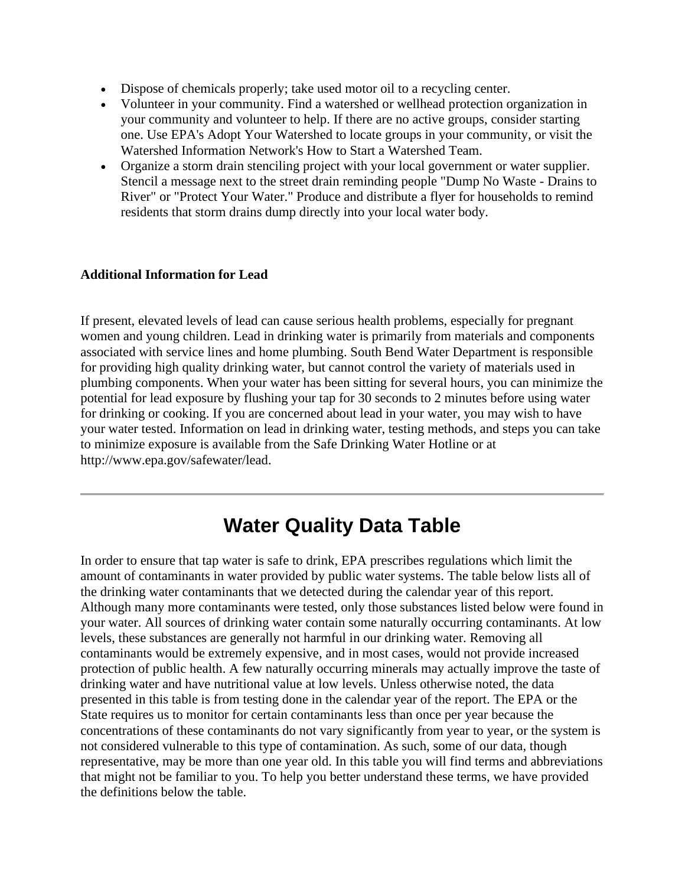- Dispose of chemicals properly; take used motor oil to a recycling center.
- Volunteer in your community. Find a watershed or wellhead protection organization in your community and volunteer to help. If there are no active groups, consider starting one. Use EPA's Adopt Your Watershed to locate groups in your community, or visit the Watershed Information Network's How to Start a Watershed Team.
- Organize a storm drain stenciling project with your local government or water supplier. Stencil a message next to the street drain reminding people "Dump No Waste - Drains to River" or "Protect Your Water." Produce and distribute a flyer for households to remind residents that storm drains dump directly into your local water body.

#### **Additional Information for Lead**

If present, elevated levels of lead can cause serious health problems, especially for pregnant women and young children. Lead in drinking water is primarily from materials and components associated with service lines and home plumbing. South Bend Water Department is responsible for providing high quality drinking water, but cannot control the variety of materials used in plumbing components. When your water has been sitting for several hours, you can minimize the potential for lead exposure by flushing your tap for 30 seconds to 2 minutes before using water for drinking or cooking. If you are concerned about lead in your water, you may wish to have your water tested. Information on lead in drinking water, testing methods, and steps you can take to minimize exposure is available from the Safe Drinking Water Hotline or at http://www.epa.gov/safewater/lead.

# **Water Quality Data Table**

In order to ensure that tap water is safe to drink, EPA prescribes regulations which limit the amount of contaminants in water provided by public water systems. The table below lists all of the drinking water contaminants that we detected during the calendar year of this report. Although many more contaminants were tested, only those substances listed below were found in your water. All sources of drinking water contain some naturally occurring contaminants. At low levels, these substances are generally not harmful in our drinking water. Removing all contaminants would be extremely expensive, and in most cases, would not provide increased protection of public health. A few naturally occurring minerals may actually improve the taste of drinking water and have nutritional value at low levels. Unless otherwise noted, the data presented in this table is from testing done in the calendar year of the report. The EPA or the State requires us to monitor for certain contaminants less than once per year because the concentrations of these contaminants do not vary significantly from year to year, or the system is not considered vulnerable to this type of contamination. As such, some of our data, though representative, may be more than one year old. In this table you will find terms and abbreviations that might not be familiar to you. To help you better understand these terms, we have provided the definitions below the table.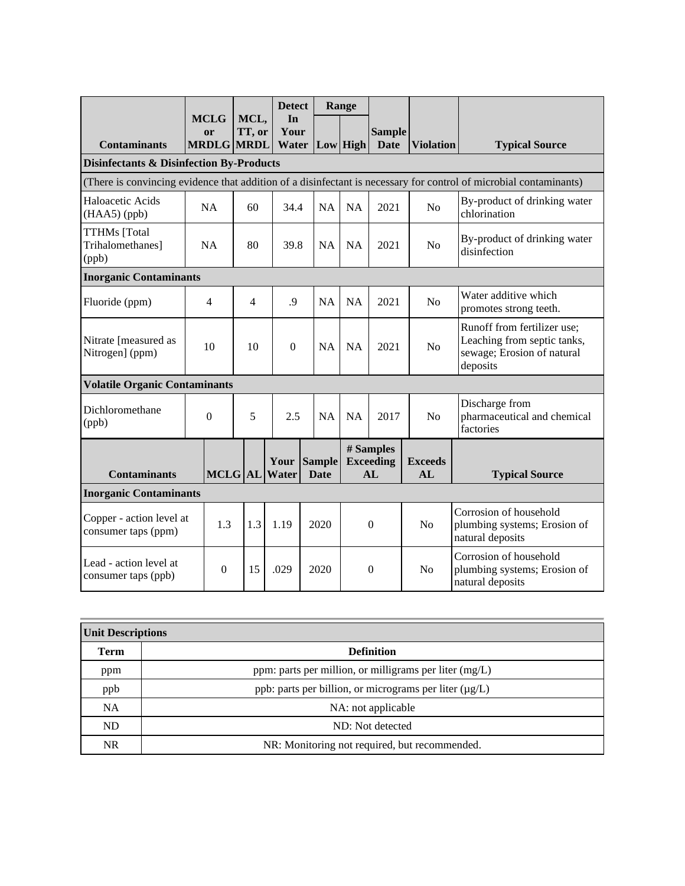|                                                     |                                        |                | <b>Detect</b>                |                              | Range     |                                     |                      |                                                                                                                   |
|-----------------------------------------------------|----------------------------------------|----------------|------------------------------|------------------------------|-----------|-------------------------------------|----------------------|-------------------------------------------------------------------------------------------------------------------|
| <b>Contaminants</b>                                 | <b>MCLG</b><br>or<br><b>MRDLG MRDL</b> | MCL,<br>TT, or | In<br>Your                   | Water   Low   High           |           | <b>Sample</b><br><b>Date</b>        | <b>Violation</b>     | <b>Typical Source</b>                                                                                             |
| <b>Disinfectants &amp; Disinfection By-Products</b> |                                        |                |                              |                              |           |                                     |                      |                                                                                                                   |
|                                                     |                                        |                |                              |                              |           |                                     |                      | (There is convincing evidence that addition of a disinfectant is necessary for control of microbial contaminants) |
| Haloacetic Acids<br>(HAA5) (ppb)                    | NA                                     | 60             | 34.4                         | <b>NA</b>                    | <b>NA</b> | 2021                                | No                   | By-product of drinking water<br>chlorination                                                                      |
| <b>TTHMs</b> [Total<br>Trihalomethanes]<br>(ppb)    | <b>NA</b>                              | 80             | 39.8                         | <b>NA</b>                    | <b>NA</b> | 2021                                | N <sub>o</sub>       | By-product of drinking water<br>disinfection                                                                      |
| <b>Inorganic Contaminants</b>                       |                                        |                |                              |                              |           |                                     |                      |                                                                                                                   |
| Fluoride (ppm)                                      | 4                                      | $\overline{4}$ | .9                           | <b>NA</b>                    | <b>NA</b> | 2021                                | No                   | Water additive which<br>promotes strong teeth.                                                                    |
| Nitrate [measured as<br>Nitrogen] (ppm)             | 10                                     | 10             | $\Omega$                     | <b>NA</b>                    | <b>NA</b> | 2021                                | No                   | Runoff from fertilizer use;<br>Leaching from septic tanks,<br>sewage; Erosion of natural<br>deposits              |
| <b>Volatile Organic Contaminants</b>                |                                        |                |                              |                              |           |                                     |                      |                                                                                                                   |
| Dichloromethane<br>(ppb)                            | $\overline{0}$                         | 5              | 2.5                          | NA                           | <b>NA</b> | 2017                                | N <sub>o</sub>       | Discharge from<br>pharmaceutical and chemical<br>factories                                                        |
| <b>Contaminants</b>                                 |                                        |                | Your<br><b>MCLG</b> AL Water | <b>Sample</b><br><b>Date</b> |           | # Samples<br><b>Exceeding</b><br>AL | <b>Exceeds</b><br>AL | <b>Typical Source</b>                                                                                             |
| <b>Inorganic Contaminants</b>                       |                                        |                |                              |                              |           |                                     |                      |                                                                                                                   |
| Copper - action level at<br>consumer taps (ppm)     | 1.3                                    | 1.3            | 1.19                         | 2020                         |           | $\theta$                            | No                   | Corrosion of household<br>plumbing systems; Erosion of<br>natural deposits                                        |
| Lead - action level at<br>consumer taps (ppb)       | $\Omega$                               | 15             | .029                         | 2020                         |           | $\boldsymbol{0}$                    | N <sub>o</sub>       | Corrosion of household<br>plumbing systems; Erosion of<br>natural deposits                                        |

| <b>Unit Descriptions</b> |                                                             |  |  |  |
|--------------------------|-------------------------------------------------------------|--|--|--|
| Term                     | <b>Definition</b>                                           |  |  |  |
| ppm                      | ppm: parts per million, or milligrams per liter (mg/L)      |  |  |  |
| ppb                      | ppb: parts per billion, or micrograms per liter $(\mu g/L)$ |  |  |  |
| <b>NA</b>                | NA: not applicable                                          |  |  |  |
| ND                       | ND: Not detected                                            |  |  |  |
| NR                       | NR: Monitoring not required, but recommended.               |  |  |  |